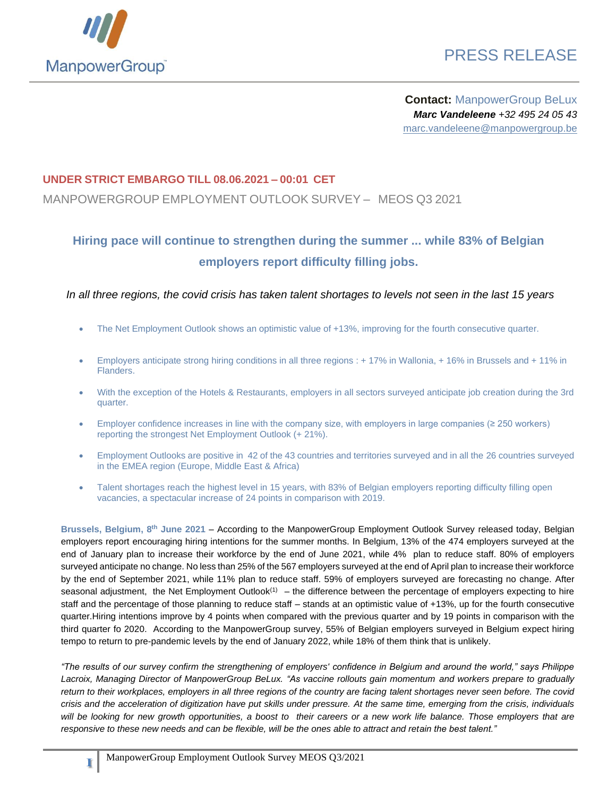

# PRESS RELEASE

**Contact:** ManpowerGroup BeLux *Marc Vandeleene +32 495 24 05 43* marc.vandeleene@manpowergroup.be

### **UNDER STRICT EMBARGO TILL 08.06.2021 – 00:01 CET**

MANPOWERGROUP EMPLOYMENT OUTLOOK SURVEY – MEOS Q3 2021

# **Hiring pace will continue to strengthen during the summer ... while 83% of Belgian employers report difficulty filling jobs.**

*In all three regions, the covid crisis has taken talent shortages to levels not seen in the last 15 years*

- The Net Employment Outlook shows an optimistic value of +13%, improving for the fourth consecutive quarter.
- Employers anticipate strong hiring conditions in all three regions : + 17% in Wallonia, + 16% in Brussels and + 11% in Flanders.
- With the exception of the Hotels & Restaurants, employers in all sectors surveyed anticipate job creation during the 3rd quarter.
- Employer confidence increases in line with the company size, with employers in large companies ( $\geq$  250 workers) reporting the strongest Net Employment Outlook (+ 21%).
- Employment Outlooks are positive in 42 of the 43 countries and territories surveyed and in all the 26 countries surveyed in the EMEA region (Europe, Middle East & Africa)
- Talent shortages reach the highest level in 15 years, with 83% of Belgian employers reporting difficulty filling open vacancies, a spectacular increase of 24 points in comparison with 2019.

**Brussels, Belgium, 8 th June 2021** – According to the ManpowerGroup Employment Outlook Survey released today, Belgian employers report encouraging hiring intentions for the summer months. In Belgium, 13% of the 474 employers surveyed at the end of January plan to increase their workforce by the end of June 2021, while 4% plan to reduce staff. 80% of employers surveyed anticipate no change. No less than 25% of the 567 employers surveyed at the end of April plan to increase their workforce by the end of September 2021, while 11% plan to reduce staff. 59% of employers surveyed are forecasting no change. After seasonal adjustment, the Net Employment Outlook<sup>(1)</sup> – the difference between the percentage of employers expecting to hire staff and the percentage of those planning to reduce staff – stands at an optimistic value of +13%, up for the fourth consecutive quarter.Hiring intentions improve by 4 points when compared with the previous quarter and by 19 points in comparison with the third quarter fo 2020. According to the ManpowerGroup survey, 55% of Belgian employers surveyed in Belgium expect hiring tempo to return to pre-pandemic levels by the end of January 2022, while 18% of them think that is unlikely.

*"The results of our survey confirm the strengthening of employers' confidence in Belgium and around the world," says Philippe Lacroix, Managing Director of ManpowerGroup BeLux. "As vaccine rollouts gain momentum and workers prepare to gradually return to their workplaces, employers in all three regions of the country are facing talent shortages never seen before. The covid crisis and the acceleration of digitization have put skills under pressure. At the same time, emerging from the crisis, individuals will be looking for new growth opportunities, a boost to their careers or a new work life balance. Those employers that are responsive to these new needs and can be flexible, will be the ones able to attract and retain the best talent."*

**1**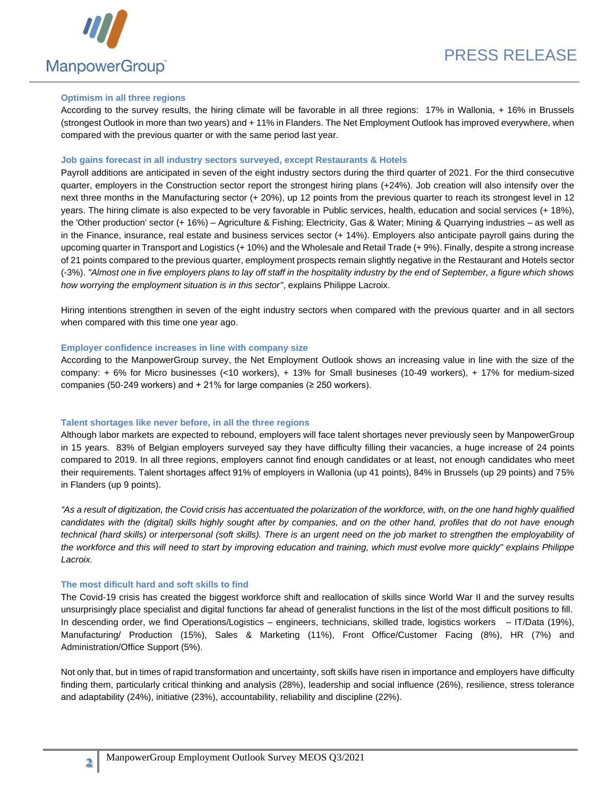

#### **Optimism in all three regions**

According to the survey results, the hiring climate will be favorable in all three regions: 17% in Wallonia, + 16% in Brussels (strongest Outlook in more than two years) and + 11% in Flanders. The Net Employment Outlook has improved everywhere, when compared with the previous quarter or with the same period last year.

#### **Job gains forecast in all industry sectors surveyed, except Restaurants & Hotels**

Payroll additions are anticipated in seven of the eight industry sectors during the third quarter of 2021. For the third consecutive quarter, employers in the Construction sector report the strongest hiring plans (+24%). Job creation will also intensify over the next three months in the Manufacturing sector (+ 20%), up 12 points from the previous quarter to reach its strongest level in 12 years. The hiring climate is also expected to be very favorable in Public services, health, education and social services (+ 18%), the 'Other production' sector (+ 16%) – Agriculture & Fishing; Electricity, Gas & Water; Mining & Quarrying industries – as well as in the Finance, insurance, real estate and business services sector (+ 14%). Employers also anticipate payroll gains during the upcoming quarter in Transport and Logistics (+ 10%) and the Wholesale and Retail Trade (+ 9%). Finally, despite a strong increase of 21 points compared to the previous quarter, employment prospects remain slightly negative in the Restaurant and Hotels sector (-3%). *"Almost one in five employers plans to lay off staff in the hospitality industry by the end of September, a figure which shows how worrying the employment situation is in this sector"*, explains Philippe Lacroix.

Hiring intentions strengthen in seven of the eight industry sectors when compared with the previous quarter and in all sectors when compared with this time one year ago.

#### **Employer confidence increases in line with company size**

According to the ManpowerGroup survey, the Net Employment Outlook shows an increasing value in line with the size of the company: + 6% for Micro businesses (<10 workers), + 13% for Small busineses (10-49 workers), + 17% for medium-sized companies (50-249 workers) and  $+21\%$  for large companies ( $\geq 250$  workers).

#### **Talent shortages like never before, in all the three regions**

Although labor markets are expected to rebound, employers will face talent shortages never previously seen by ManpowerGroup in 15 years. 83% of Belgian employers surveyed say they have difficulty filling their vacancies, a huge increase of 24 points compared to 2019. In all three regions, employers cannot find enough candidates or at least, not enough candidates who meet their requirements. Talent shortages affect 91% of employers in Wallonia (up 41 points), 84% in Brussels (up 29 points) and 75% in Flanders (up 9 points).

*"As a result of digitization, the Covid crisis has accentuated the polarization of the workforce, with, on the one hand highly qualified candidates with the (digital) skills highly sought after by companies, and on the other hand, profiles that do not have enough technical (hard skills) or interpersonal (soft skills). There is an urgent need on the job market to strengthen the employability of the workforce and this will need to start by improving education and training, which must evolve more quickly" explains Philippe Lacroix.*

#### **The most dificult hard and soft skills to find**

The Covid-19 crisis has created the biggest workforce shift and reallocation of skills since World War II and the survey results unsurprisingly place specialist and digital functions far ahead of generalist functions in the list of the most difficult positions to fill. In descending order, we find Operations/Logistics – engineers, technicians, skilled trade, logistics workers – IT/Data (19%), Manufacturing/ Production (15%), Sales & Marketing (11%), Front Office/Customer Facing (8%), HR (7%) and Administration/Office Support (5%).

Not only that, but in times of rapid transformation and uncertainty, soft skills have risen in importance and employers have difficulty finding them, particularly critical thinking and analysis (28%), leadership and social influence (26%), resilience, stress tolerance and adaptability (24%), initiative (23%), accountability, reliability and discipline (22%).

**2**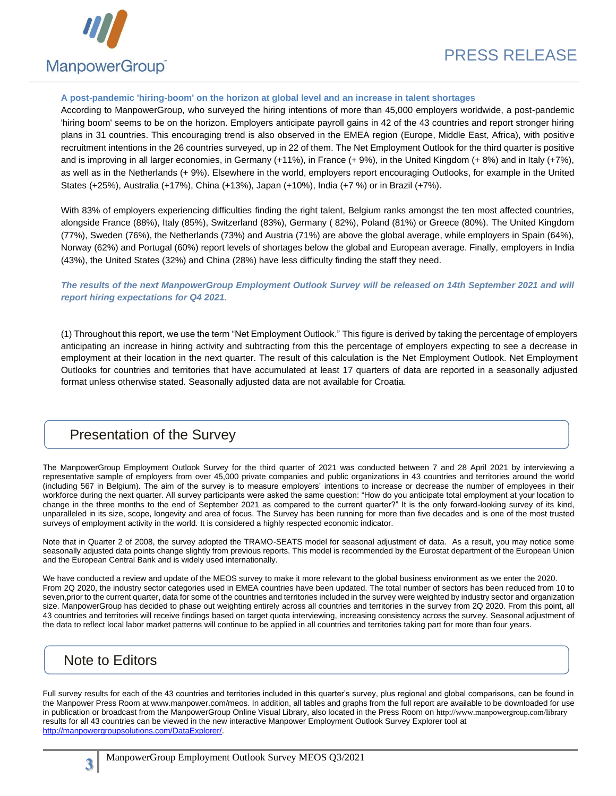

#### **A post-pandemic 'hiring-boom' on the horizon at global level and an increase in talent shortages**

According to ManpowerGroup, who surveyed the hiring intentions of more than 45,000 employers worldwide, a post-pandemic 'hiring boom' seems to be on the horizon. Employers anticipate payroll gains in 42 of the 43 countries and report stronger hiring plans in 31 countries. This encouraging trend is also observed in the EMEA region (Europe, Middle East, Africa), with positive recruitment intentions in the 26 countries surveyed, up in 22 of them. The Net Employment Outlook for the third quarter is positive and is improving in all larger economies, in Germany (+11%), in France (+ 9%), in the United Kingdom (+ 8%) and in Italy (+7%), as well as in the Netherlands (+ 9%). Elsewhere in the world, employers report encouraging Outlooks, for example in the United States (+25%), Australia (+17%), China (+13%), Japan (+10%), India (+7 %) or in Brazil (+7%).

With 83% of employers experiencing difficulties finding the right talent, Belgium ranks amongst the ten most affected countries, alongside France (88%), Italy (85%), Switzerland (83%), Germany ( 82%), Poland (81%) or Greece (80%). The United Kingdom (77%), Sweden (76%), the Netherlands (73%) and Austria (71%) are above the global average, while employers in Spain (64%), Norway (62%) and Portugal (60%) report levels of shortages below the global and European average. Finally, employers in India (43%), the United States (32%) and China (28%) have less difficulty finding the staff they need.

The results of the next ManpowerGroup Employment Outlook Survey will be released on 14th September 2021 and will *report hiring expectations for Q4 2021.*

(1) Throughout this report, we use the term "Net Employment Outlook." This figure is derived by taking the percentage of employers anticipating an increase in hiring activity and subtracting from this the percentage of employers expecting to see a decrease in employment at their location in the next quarter. The result of this calculation is the Net Employment Outlook. Net Employment Outlooks for countries and territories that have accumulated at least 17 quarters of data are reported in a seasonally adjusted format unless otherwise stated. Seasonally adjusted data are not available for Croatia.

## Presentation of the Survey

The ManpowerGroup Employment Outlook Survey for the third quarter of 2021 was conducted between 7 and 28 April 2021 by interviewing a representative sample of employers from over 45,000 private companies and public organizations in 43 countries and territories around the world (including 567 in Belgium). The aim of the survey is to measure employers' intentions to increase or decrease the number of employees in their workforce during the next quarter. All survey participants were asked the same question: "How do you anticipate total employment at your location to change in the three months to the end of September 2021 as compared to the current quarter?" It is the only forward-looking survey of its kind, unparalleled in its size, scope, longevity and area of focus. The Survey has been running for more than five decades and is one of the most trusted surveys of employment activity in the world. It is considered a highly respected economic indicator.

Note that in Quarter 2 of 2008, the survey adopted the TRAMO-SEATS model for seasonal adjustment of data. As a result, you may notice some seasonally adjusted data points change slightly from previous reports. This model is recommended by the Eurostat department of the European Union and the European Central Bank and is widely used internationally.

We have conducted a review and update of the MEOS survey to make it more relevant to the global business environment as we enter the 2020. From 2Q 2020, the industry sector categories used in EMEA countries have been updated. The total number of sectors has been reduced from 10 to seven, prior to the current quarter, data for some of the countries and territories included in the survey were weighted by industry sector and organization size. ManpowerGroup has decided to phase out weighting entirely across all countries and territories in the survey from 2Q 2020. From this point, all 43 countries and territories will receive findings based on target quota interviewing, increasing consistency across the survey. Seasonal adjustment of the data to reflect local labor market patterns will continue to be applied in all countries and territories taking part for more than four years.

## Note to Editors

**3**

Full survey results for each of the 43 countries and territories included in this quarter's survey, plus regional and global comparisons, can be found in the Manpower Press Room at www.manpower.com/meos. In addition, all tables and graphs from the full report are available to be downloaded for use in publication or broadcast from the ManpowerGroup Online Visual Library, also located in the Press Room on <http://www.manpowergroup.com/library> results for all 43 countries can be viewed in the new interactive [Manpower Employment Outlook Survey Explorer tool](http://www.manpowergroupsolutions.com/DataExplorer/) at [http://manpowergroupsolutions.com/DataExplorer/.](http://manpowergroupsolutions.com/DataExplorer/)